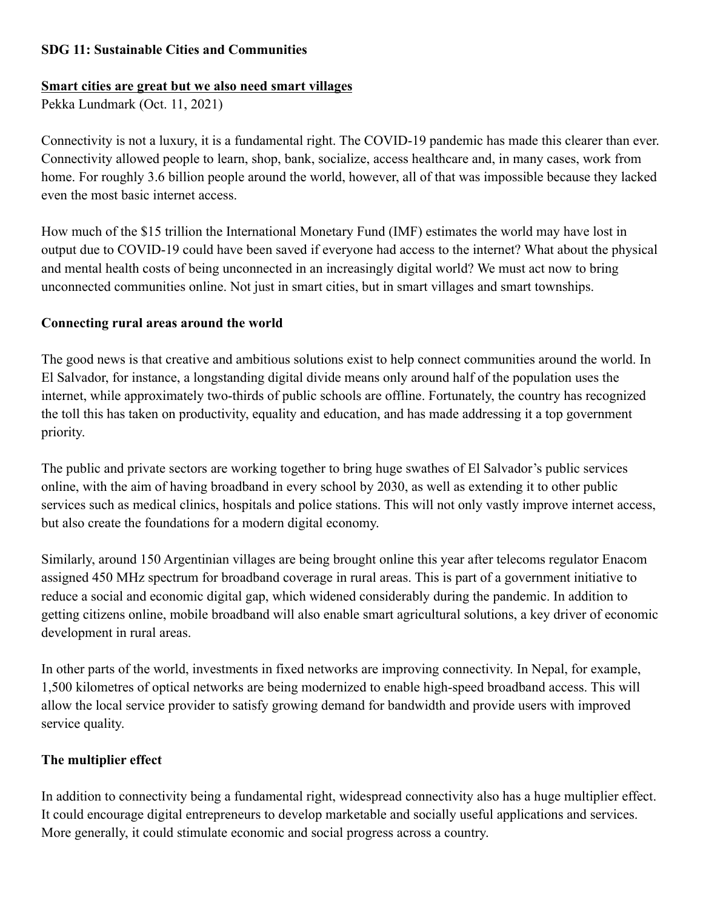#### **SDG 11: Sustainable Cities and Communities**

# **Smart cities are great but we also need smart villages**

Pekka Lundmark (Oct. 11, 2021)

Connectivity is not a luxury, it is a fundamental right. The COVID-19 pandemic has made this clearer than ever. Connectivity allowed people to learn, shop, bank, socialize, access healthcare and, in many cases, work from home. For roughly 3.6 billion people around the world, however, all of that was impossible because they lacked even the most basic internet access.

How much of the \$15 trillion the International Monetary Fund (IMF) estimates the world may have lost in output due to COVID-19 could have been saved if everyone had access to the internet? What about the physical and mental health costs of being unconnected in an increasingly digital world? We must act now to bring unconnected communities online. Not just in smart cities, but in smart villages and smart townships.

#### **Connecting rural areas around the world**

The good news is that creative and ambitious solutions exist to help connect communities around the world. In El Salvador, for instance, a longstanding digital divide means only around half of the population uses the internet, while approximately two-thirds of public schools are offline. Fortunately, the country has recognized the toll this has taken on productivity, equality and education, and has made addressing it a top government priority.

The public and private sectors are working together to bring huge swathes of El Salvador's public services online, with the aim of having broadband in every school by 2030, as well as extending it to other public services such as medical clinics, hospitals and police stations. This will not only vastly improve internet access, but also create the foundations for a modern digital economy.

Similarly, around 150 Argentinian villages are being brought online this year after telecoms regulator Enacom assigned 450 MHz spectrum for broadband coverage in rural areas. This is part of a government initiative to reduce a social and economic digital gap, which widened considerably during the pandemic. In addition to getting citizens online, mobile broadband will also enable smart agricultural solutions, a key driver of economic development in rural areas.

In other parts of the world, investments in fixed networks are improving connectivity. In Nepal, for example, 1,500 kilometres of optical networks are being modernized to enable high-speed broadband access. This will allow the local service provider to satisfy growing demand for bandwidth and provide users with improved service quality.

### **The multiplier effect**

In addition to connectivity being a fundamental right, widespread connectivity also has a huge multiplier effect. It could encourage digital entrepreneurs to develop marketable and socially useful applications and services. More generally, it could stimulate economic and social progress across a country.